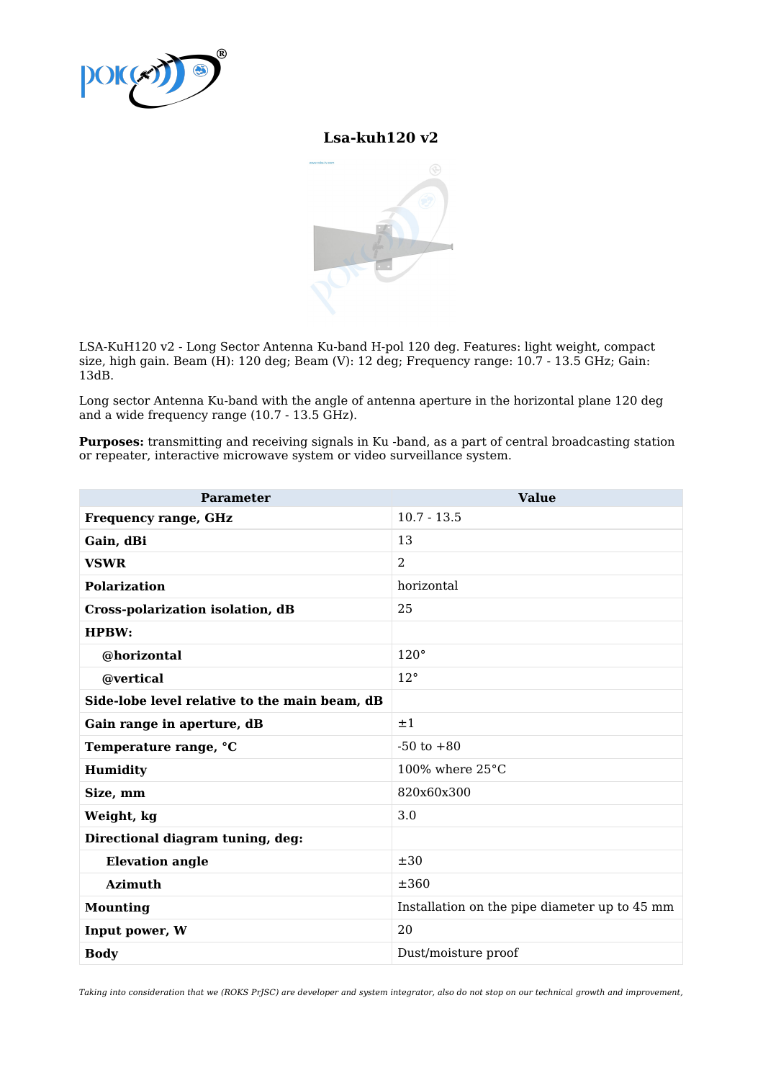

## **Lsa-kuh120 v2**



LSA-KuH120 v2 - Long Sector Antenna Ku-band H-pol 120 deg. Features: light weight, compact size, high gain. Beam (H): 120 deg; Beam (V): 12 deg; Frequency range: 10.7 - 13.5 GHz; Gain: 13dB.

Long sector Antenna Ku-band with the angle of antenna aperture in the horizontal plane 120 deg and a wide frequency range (10.7 - 13.5 GHz).

**Purposes:** transmitting and receiving signals in Ku -band, as a part of central broadcasting station or repeater, interactive microwave system or video surveillance system.

| <b>Parameter</b>                              | <b>Value</b>                                  |
|-----------------------------------------------|-----------------------------------------------|
| <b>Frequency range, GHz</b>                   | $10.7 - 13.5$                                 |
| Gain, dBi                                     | 13                                            |
| <b>VSWR</b>                                   | $\overline{2}$                                |
| <b>Polarization</b>                           | horizontal                                    |
| Cross-polarization isolation, dB              | 25                                            |
| <b>HPBW:</b>                                  |                                               |
| @horizontal                                   | $120^\circ$                                   |
| @vertical                                     | $12^{\circ}$                                  |
| Side-lobe level relative to the main beam, dB |                                               |
| Gain range in aperture, dB                    | ±1                                            |
| Temperature range, °C                         | $-50$ to $+80$                                |
| Humidity                                      | 100% where $25^{\circ}$ C                     |
| Size, mm                                      | 820x60x300                                    |
| Weight, kg                                    | 3.0                                           |
| Directional diagram tuning, deg:              |                                               |
| <b>Elevation angle</b>                        | $\pm 30$                                      |
| <b>Azimuth</b>                                | ±360                                          |
| <b>Mounting</b>                               | Installation on the pipe diameter up to 45 mm |
| Input power, W                                | 20                                            |
| <b>Body</b>                                   | Dust/moisture proof                           |

Taking into consideration that we (ROKS PrJSC) are developer and system integrator, also do not stop on our technical growth and improvement,